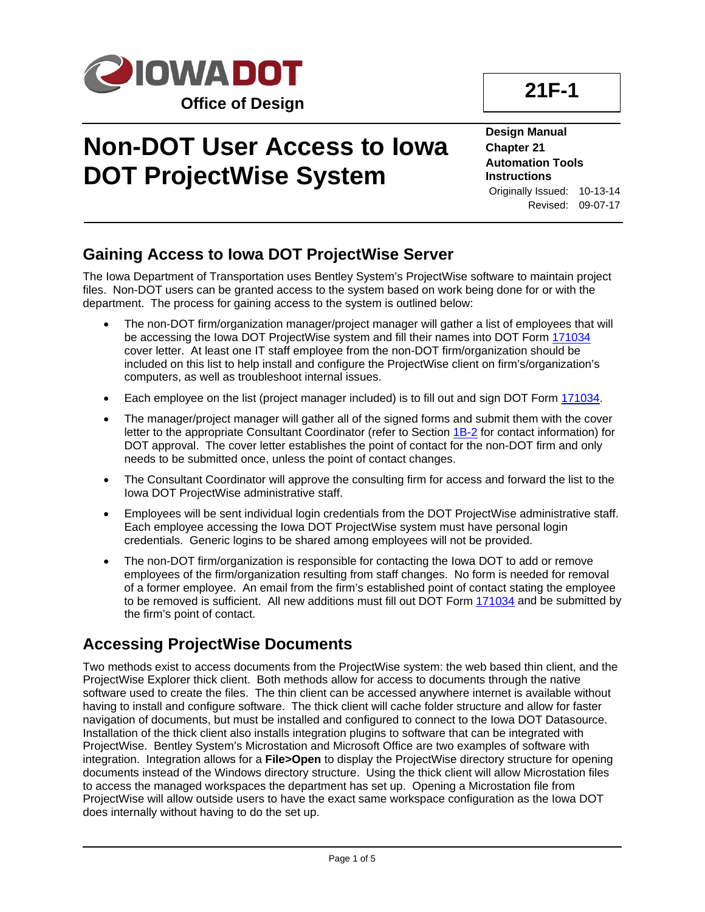

# **Non-DOT User Access to Iowa DOT ProjectWise System**

**21F-1**

**Design Manual Chapter 21 Automation Tools Instructions** Originally Issued: 10-13-14 Revised: 09-07-17

## **Gaining Access to Iowa DOT ProjectWise Server**

The Iowa Department of Transportation uses Bentley System's ProjectWise software to maintain project files. Non-DOT users can be granted access to the system based on work being done for or with the department. The process for gaining access to the system is outlined below:

- The non-DOT firm/organization manager/project manager will gather a list of employees that will be accessing the Iowa DOT ProjectWise system and fill their names into DOT Form [171034](https://forms.iowadot.gov/FormsMgt/External/171034.doc) cover letter. At least one IT staff employee from the non-DOT firm/organization should be included on this list to help install and configure the ProjectWise client on firm's/organization's computers, as well as troubleshoot internal issues.
- Each employee on the list (project manager included) is to fill out and sign DOT Form [171034.](https://forms.iowadot.gov/FormsMgt/External/171034.doc)
- The manager/project manager will gather all of the signed forms and submit them with the cover letter to the appropriate Consultant Coordinator (refer to Section 1B-2 for contact information) for DOT approval. The cover letter establishes the point of contact for the non-DOT firm and only needs to be submitted once, unless the point of contact changes.
- The Consultant Coordinator will approve the consulting firm for access and forward the list to the Iowa DOT ProjectWise administrative staff.
- Employees will be sent individual login credentials from the DOT ProjectWise administrative staff. Each employee accessing the Iowa DOT ProjectWise system must have personal login credentials. Generic logins to be shared among employees will not be provided.
- The non-DOT firm/organization is responsible for contacting the Iowa DOT to add or remove employees of the firm/organization resulting from staff changes. No form is needed for removal of a former employee. An email from the firm's established point of contact stating the employee to be removed is sufficient. All new additions must fill out DOT Form [171034](https://forms.iowadot.gov/FormsMgt/External/171034.doc) and be submitted by the firm's point of contact.

## **Accessing ProjectWise Documents**

Two methods exist to access documents from the ProjectWise system: the web based thin client, and the ProjectWise Explorer thick client. Both methods allow for access to documents through the native software used to create the files. The thin client can be accessed anywhere internet is available without having to install and configure software. The thick client will cache folder structure and allow for faster navigation of documents, but must be installed and configured to connect to the Iowa DOT Datasource. Installation of the thick client also installs integration plugins to software that can be integrated with ProjectWise. Bentley System's Microstation and Microsoft Office are two examples of software with integration. Integration allows for a **File>Open** to display the ProjectWise directory structure for opening documents instead of the Windows directory structure. Using the thick client will allow Microstation files to access the managed workspaces the department has set up. Opening a Microstation file from ProjectWise will allow outside users to have the exact same workspace configuration as the Iowa DOT does internally without having to do the set up.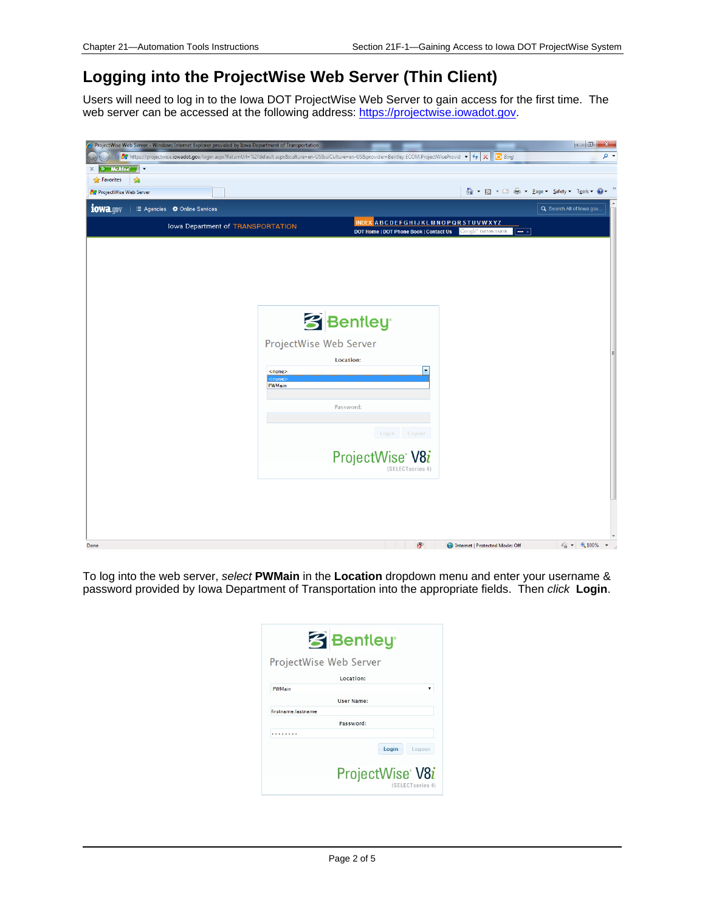## **Logging into the ProjectWise Web Server (Thin Client)**

Users will need to log in to the Iowa DOT ProjectWise Web Server to gain access for the first time. The web server can be accessed at the following address: [https://projectwise.iowadot.gov.](https://projectwise.iowadot.gov/)



To log into the web server, *select* **PWMain** in the **Location** dropdown menu and enter your username & password provided by Iowa Department of Transportation into the appropriate fields. Then *click* **Login**.

|                        | <b>3</b> Bentley                                 |
|------------------------|--------------------------------------------------|
| ProjectWise Web Server |                                                  |
|                        | Location:                                        |
| PWMain                 |                                                  |
|                        | <b>User Name:</b>                                |
| firstname lastname     |                                                  |
|                        | Password:                                        |
|                        |                                                  |
|                        | Login<br>Logout                                  |
|                        | ProjectWise <sup>®</sup> V8i<br>(SELECTseries 4) |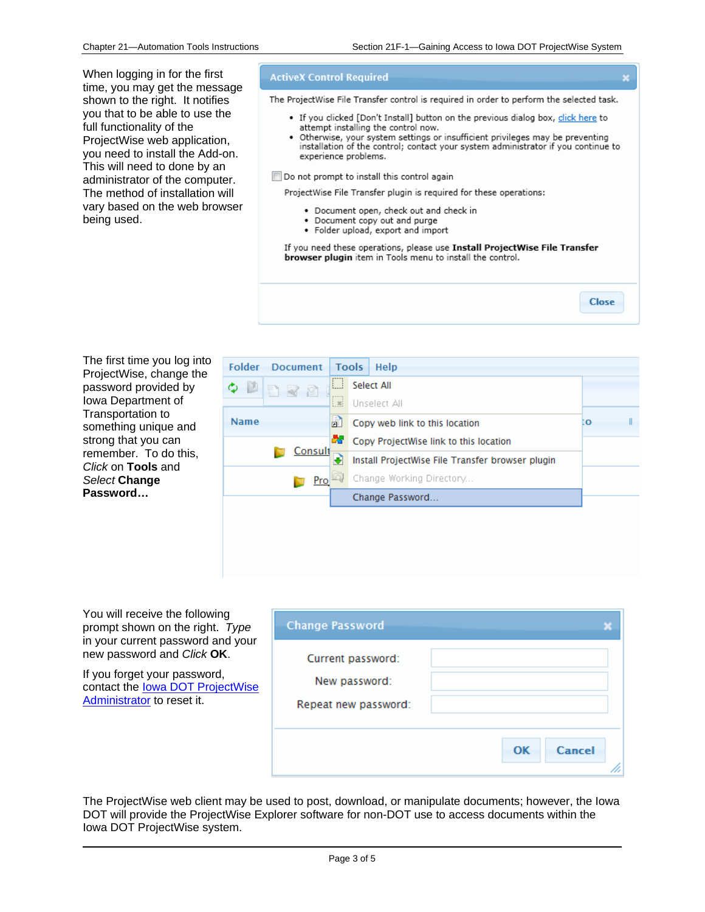When logging in for the first time, you may get the message shown to the right. It notifies you that to be able to use the full functionality of the ProjectWise web application, you need to install the Add-on. This will need to done by an administrator of the computer. The method of installation will vary based on the web browser being used.

#### **ActiveX Control Required**

The ProjectWise File Transfer control is required in order to perform the selected task.

- If you clicked [Don't Install] button on the previous dialog box, click here to attempt installing the control now.
- . Otherwise, your system settings or insufficient privileges may be preventing installation of the control; contact your system administrator if you continue to experience problems.

#### Do not prompt to install this control again

ProjectWise File Transfer plugin is required for these operations:

- · Document open, check out and check in
- Document copy out and purge
- Folder upload, export and import

If you need these operations, please use Install ProjectWise File Transfer browser plugin item in Tools menu to install the control.

| The first time you log into |
|-----------------------------|
| ProjectWise, change the     |
| password provided by        |
| lowa Department of          |
| Transportation to           |
| something unique and        |
| strong that you can         |
| remember. To do this,       |
| Click on Tools and          |
| Select Change               |
| Password                    |

| <b>Folder</b><br><b>Document</b> |                           | <b>Tools</b> | Help                                             |    |  |
|----------------------------------|---------------------------|--------------|--------------------------------------------------|----|--|
| $\mathbf{P}$<br>Φ<br>DRP         | Ш                         | Select All   |                                                  |    |  |
|                                  | $p = -q$<br>$\frac{1}{2}$ |              | Unselect All                                     |    |  |
| <b>Name</b>                      | ď                         |              | Copy web link to this location                   | ΙO |  |
|                                  | 68.                       |              | Copy ProjectWise link to this location           |    |  |
| Consult                          |                           |              | Install ProjectWise File Transfer browser plugin |    |  |
| Pro                              |                           |              | Change Working Directory                         |    |  |
|                                  |                           |              | Change Password                                  |    |  |
|                                  |                           |              |                                                  |    |  |
|                                  |                           |              |                                                  |    |  |
|                                  |                           |              |                                                  |    |  |

You will receive the following prompt shown on the right. *Type* in your current password and your new password and *Click* **OK**.

If you forget your password, contact the Iowa DOT ProjectWise Administrator to reset it.

| <b>Change Password</b>                                     |              |  |
|------------------------------------------------------------|--------------|--|
| Current password:<br>New password:<br>Repeat new password: |              |  |
|                                                            | OK<br>Cancel |  |

The ProjectWise web client may be used to post, download, or manipulate documents; however, the Iowa DOT will provide the ProjectWise Explorer software for non-DOT use to access documents within the Iowa DOT ProjectWise system.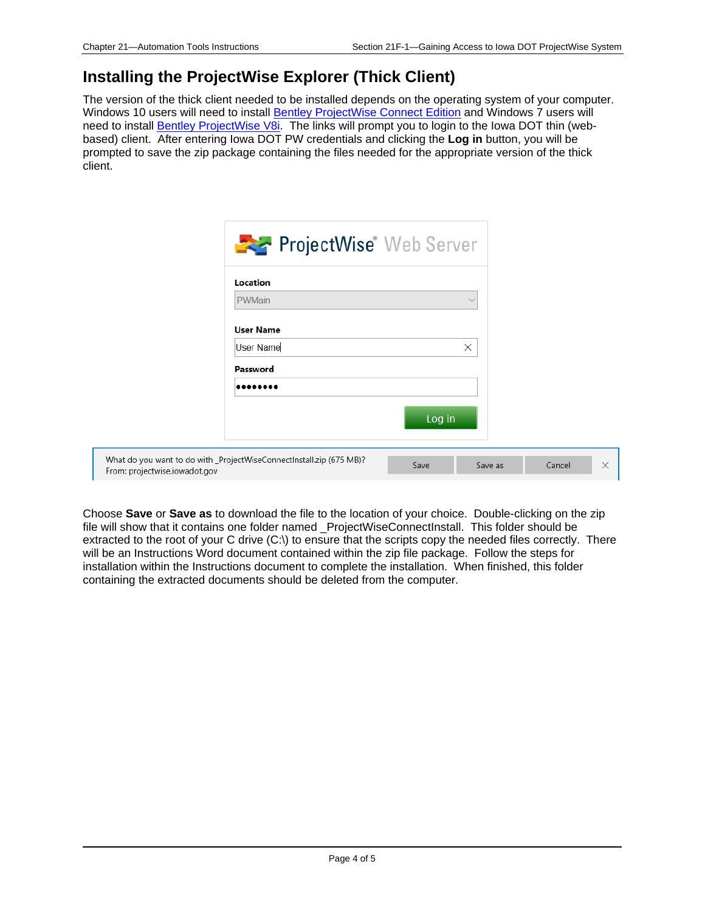### **Installing the ProjectWise Explorer (Thick Client)**

The version of the thick client needed to be installed depends on the operating system of your computer. Windows 10 users will need to install [Bentley ProjectWise Connect Edition](https://projectwise.iowadot.gov/Resources/Services/ProjectWise/Download.ashx/View?connectionId=default&key=ECObjects%7CBentley_DMS%7CDMSDocument%7C840120_8&view=attachment&provider=Bentley.ECOM.ProjectWiseProvider&location=projectwise.dot.int.lan%3APWMain) and Windows 7 users will need to install [Bentley ProjectWise V8i.](https://projectwise.iowadot.gov/Resources/Services/ProjectWise/Download.ashx/View?connectionId=default&key=ECObjects%7CBentley_DMS%7CDMSDocument%7C848580_1&view=attachment&provider=Bentley.ECOM.ProjectWiseProvider&location=projectwise.dot.int.lan%3APWMain) The links will prompt you to login to the Iowa DOT thin (webbased) client. After entering Iowa DOT PW credentials and clicking the **Log in** button, you will be prompted to save the zip package containing the files needed for the appropriate version of the thick client.

|                               | <b>ProjectWise</b> Web Server                                        |        |              |        |          |
|-------------------------------|----------------------------------------------------------------------|--------|--------------|--------|----------|
|                               | Location                                                             |        |              |        |          |
|                               | <b>PWMain</b><br><b>User Name</b>                                    |        | $\checkmark$ |        |          |
|                               | <b>User Name</b>                                                     |        | X            |        |          |
|                               | <b>Password</b><br>                                                  |        |              |        |          |
|                               |                                                                      | Log in |              |        |          |
| From: projectwise.iowadot.gov | What do you want to do with _ProjectWiseConnectInstall.zip (675 MB)? | Save   | Save as      | Cancel | $\times$ |

Choose **Save** or **Save as** to download the file to the location of your choice. Double-clicking on the zip file will show that it contains one folder named \_ProjectWiseConnectInstall. This folder should be extracted to the root of your C drive  $(C:\)$  to ensure that the scripts copy the needed files correctly. There will be an Instructions Word document contained within the zip file package. Follow the steps for installation within the Instructions document to complete the installation. When finished, this folder containing the extracted documents should be deleted from the computer.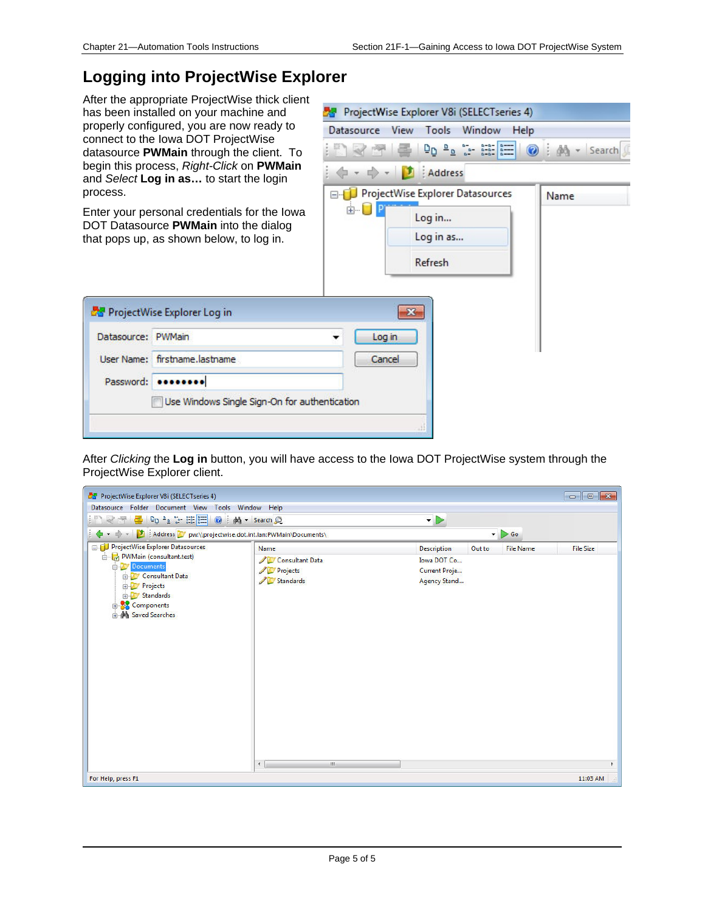### **Logging into ProjectWise Explorer**

After the appropriate ProjectWise thick client has been installed on your machine and properly configured, you are now ready to connect to the Iowa DOT ProjectWise datasource **PWMain** through the client. To begin this process, *Right-Click* on **PWMain** and *Select* **Log in as…** to start the login process.

Enter your personal credentials for the Iowa DOT Datasource **PWMain** into the dialog that pops up, as shown below, to log in.

ProjectWise Explorer Log in

User Name: firstname.lastname

Password: .......

Datasource: PWMain



After *Clicking* the **Log in** button, you will have access to the Iowa DOT ProjectWise system through the ProjectWise Explorer client.

| ProjectWise Explorer V8i (SELECT series 4)                                                                                                               |                                          |                                                                    |        |                  | $\begin{array}{c c c c c c} \hline \multicolumn{3}{c }{\mathbf{C}} & \multicolumn{3}{c }{\mathbf{E}} & \multicolumn{3}{c }{\mathbf{X}} \\\hline \multicolumn{3}{c }{\mathbf{C}} & \multicolumn{3}{c }{\mathbf{E}} & \multicolumn{3}{c }{\mathbf{X}} \\\hline \multicolumn{3}{c }{\mathbf{A}} & \multicolumn{3}{c }{\mathbf{A}} & \multicolumn{3}{c }{\mathbf{E}} & \multicolumn{3}{c }{\mathbf{X}} \\\hline \multicolumn{3}{c }{\mathbf{A}} & \multicolumn$ |
|----------------------------------------------------------------------------------------------------------------------------------------------------------|------------------------------------------|--------------------------------------------------------------------|--------|------------------|-------------------------------------------------------------------------------------------------------------------------------------------------------------------------------------------------------------------------------------------------------------------------------------------------------------------------------------------------------------------------------------------------------------------------------------------------------------|
| Datasource Folder Document View Tools Window Help<br>IN REPOLIEEO   M · Search Q                                                                         |                                          |                                                                    |        |                  |                                                                                                                                                                                                                                                                                                                                                                                                                                                             |
| ← → → 【1】 Address V pw:\\projectwise.dot.int.lan:PWMain\Documents\                                                                                       |                                          | $\cdot \rhd$                                                       |        | $\bullet$ 60     |                                                                                                                                                                                                                                                                                                                                                                                                                                                             |
| <b>ProjectWise Explorer Datasources</b>                                                                                                                  | Name                                     |                                                                    |        |                  |                                                                                                                                                                                                                                                                                                                                                                                                                                                             |
| PWMain (consultant.test)<br><b>Documents</b><br><b>End Consultant Data</b><br>Projects<br>田<br>Standards<br><b>Components</b><br><b>A</b> Saved Searches | Consultant Data<br>Projects<br>Standards | <b>Description</b><br>Iowa DOT Co<br>Current Proje<br>Agency Stand | Out to | <b>File Name</b> | <b>File Size</b>                                                                                                                                                                                                                                                                                                                                                                                                                                            |
|                                                                                                                                                          | $\overline{m}$<br>$\leftarrow$           |                                                                    |        |                  |                                                                                                                                                                                                                                                                                                                                                                                                                                                             |
| For Help, press F1                                                                                                                                       |                                          |                                                                    |        |                  | 11:03 AM                                                                                                                                                                                                                                                                                                                                                                                                                                                    |